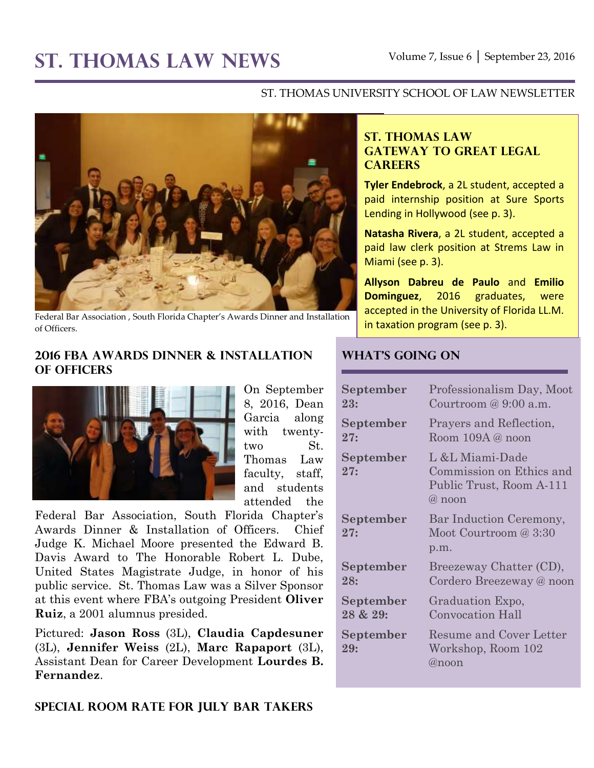#### ST. THOMAS UNIVERSITY SCHOOL OF LAW NEWSLETTER



Federal Bar Association , South Florida Chapter's Awards Dinner and Installation of Officers.

#### **2016 FBA Awards Dinner & Installation of Officers**



On September 8, 2016, Dean Garcia along with twentytwo St. Thomas Law faculty, staff, and students attended the

Federal Bar Association, South Florida Chapter's Awards Dinner & Installation of Officers. Chief Judge K. Michael Moore presented the Edward B. Davis Award to The Honorable Robert L. Dube, United States Magistrate Judge, in honor of his public service. St. Thomas Law was a Silver Sponsor at this event where FBA's outgoing President **Oliver Ruiz**, a 2001 alumnus presided.

Pictured: **Jason Ross** (3L), **Claudia Capdesuner** (3L), **Jennifer Weiss** (2L), **Marc Rapaport** (3L), Assistant Dean for Career Development **Lourdes B. Fernandez**.

#### **Special Room Rate for July Bar Takers**

### **ST. THOMAS LAW GATEWAY TO GREAT LEGAL CAREERS**

**Tyler Endebrock**, a 2L student, accepted a paid internship position at Sure Sports Lending in Hollywood (see p. 3).

**Natasha Rivera**, a 2L student, accepted a paid law clerk position at Strems Law in Miami (see p. 3).

**Allyson Dabreu de Paulo** and **Emilio Dominguez**, 2016 graduates, were accepted in the University of Florida LL.M. in taxation program (see p. 3).

#### **What's Going On**

| September        | Professionalism Day, Moot                                                           |
|------------------|-------------------------------------------------------------------------------------|
| 23:              | Courtroom $@9:00$ a.m.                                                              |
| September        | Prayers and Reflection,                                                             |
| 27:              | Room $109A @$ noon                                                                  |
| September<br>27: | L &L Miami-Dade<br>Commission on Ethics and<br>Public Trust, Room A-111<br>$@$ noon |
| September<br>27: | Bar Induction Ceremony,<br>Moot Courtroom @ 3:30<br>p.m.                            |
| September        | Breezeway Chatter (CD),                                                             |
| 28:              | Cordero Breezeway @ noon                                                            |
| September        | Graduation Expo,                                                                    |
| 28 & 29:         | <b>Convocation Hall</b>                                                             |
| September<br>29: | Resume and Cover Letter<br>Workshop, Room 102<br>@noon                              |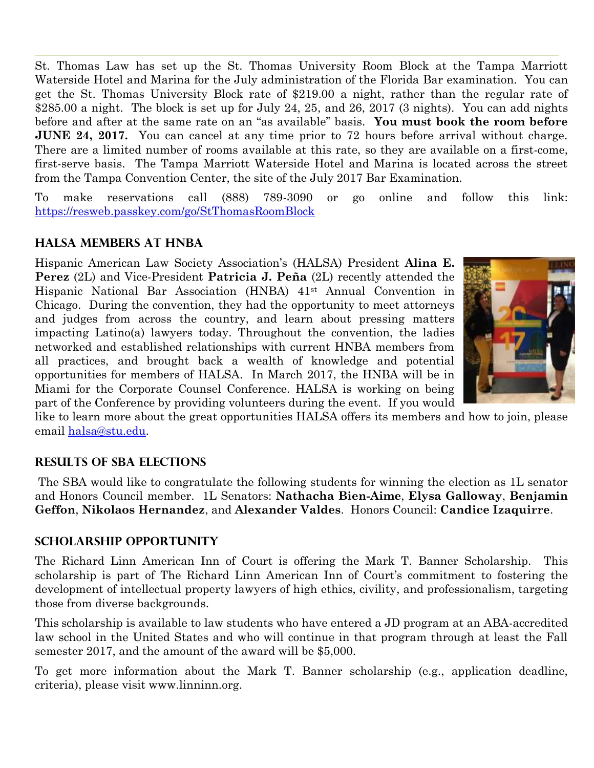St. Thomas Law has set up the St. Thomas University Room Block at the Tampa Marriott Waterside Hotel and Marina for the July administration of the Florida Bar examination. You can get the St. Thomas University Block rate of \$219.00 a night, rather than the regular rate of \$285.00 a night. The block is set up for July 24, 25, and 26, 2017 (3 nights). You can add nights before and after at the same rate on an "as available" basis. **You must book the room before JUNE 24, 2017.** You can cancel at any time prior to 72 hours before arrival without charge. There are a limited number of rooms available at this rate, so they are available on a first-come, first-serve basis. The Tampa Marriott Waterside Hotel and Marina is located across the street from the Tampa Convention Center, the site of the July 2017 Bar Examination.

To make reservations call (888) 789-3090 or go online and follow this link: <https://resweb.passkey.com/go/StThomasRoomBlock>

## **HALSA Members at HNBA**

Hispanic American Law Society Association's (HALSA) President **Alina E. Perez** (2L) and Vice-President **Patricia J. Peña** (2L) recently attended the Hispanic National Bar Association (HNBA) 41st Annual Convention in Chicago. During the convention, they had the opportunity to meet attorneys and judges from across the country, and learn about pressing matters impacting Latino(a) lawyers today. Throughout the convention, the ladies networked and established relationships with current HNBA members from all practices, and brought back a wealth of knowledge and potential opportunities for members of HALSA. In March 2017, the HNBA will be in Miami for the Corporate Counsel Conference. HALSA is working on being part of the Conference by providing volunteers during the event. If you would



like to learn more about the great opportunities HALSA offers its members and how to join, please email [halsa@stu.edu.](mailto:halsa@stu.edu)

### **Results of SBA Elections**

The SBA would like to congratulate the following students for winning the election as 1L senator and Honors Council member. 1L Senators: **Nathacha Bien-Aime**, **Elysa Galloway**, **Benjamin Geffon**, **Nikolaos Hernandez**, and **Alexander Valdes**. Honors Council: **Candice Izaquirre**.

#### **Scholarship Opportunity**

The Richard Linn American Inn of Court is offering the Mark T. Banner Scholarship. This scholarship is part of The Richard Linn American Inn of Court's commitment to fostering the development of intellectual property lawyers of high ethics, civility, and professionalism, targeting those from diverse backgrounds.

This scholarship is available to law students who have entered a JD program at an ABA-accredited law school in the United States and who will continue in that program through at least the Fall semester 2017, and the amount of the award will be \$5,000.

To get more information about the Mark T. Banner scholarship (e.g., application deadline, criteria), please visit www.linninn.org.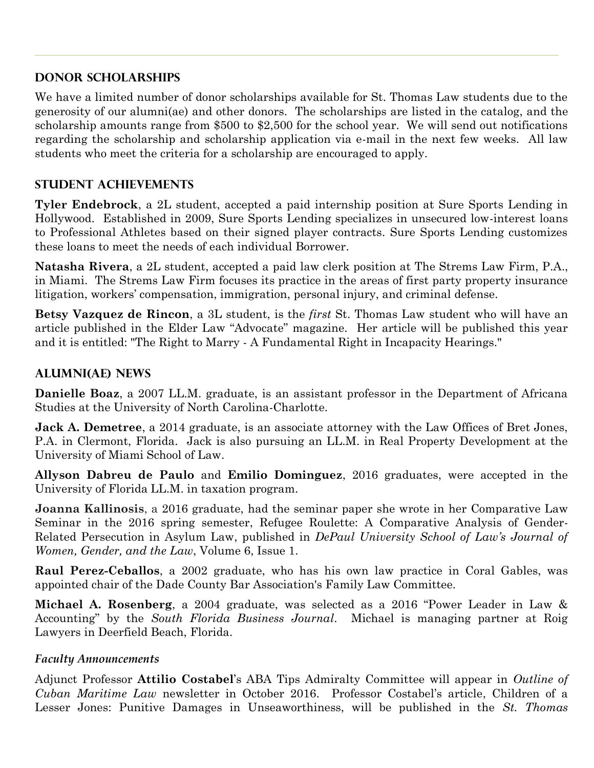### **Donor Scholarships**

We have a limited number of donor scholarships available for St. Thomas Law students due to the generosity of our alumni(ae) and other donors. The scholarships are listed in the catalog, and the scholarship amounts range from \$500 to \$2,500 for the school year. We will send out notifications regarding the scholarship and scholarship application via e-mail in the next few weeks. All law students who meet the criteria for a scholarship are encouraged to apply.

# **STUDENT ACHIEVEMENTS**

**Tyler Endebrock**, a 2L student, accepted a paid internship position at Sure Sports Lending in Hollywood. Established in 2009, Sure Sports Lending specializes in unsecured low-interest loans to Professional Athletes based on their signed player contracts. Sure Sports Lending customizes these loans to meet the needs of each individual Borrower.

**Natasha Rivera**, a 2L student, accepted a paid law clerk position at The Strems Law Firm, P.A., in Miami. The Strems Law Firm focuses its practice in the areas of first party property insurance litigation, workers' compensation, immigration, personal injury, and criminal defense.

**Betsy Vazquez de Rincon**, a 3L student, is the *first* St. Thomas Law student who will have an article published in the Elder Law "Advocate" magazine. Her article will be published this year and it is entitled: "The Right to Marry - A Fundamental Right in Incapacity Hearings."

## **ALUMNI(AE) NEWS**

**Danielle Boaz**, a 2007 LL.M. graduate, is an assistant professor in the Department of Africana Studies at the University of North Carolina-Charlotte.

**Jack A. Demetree**, a 2014 graduate, is an associate attorney with the Law Offices of Bret Jones, P.A. in Clermont, Florida. Jack is also pursuing an LL.M. in Real Property Development at the University of Miami School of Law.

**Allyson Dabreu de Paulo** and **Emilio Dominguez**, 2016 graduates, were accepted in the University of Florida LL.M. in taxation program.

**Joanna Kallinosis**, a 2016 graduate, had the seminar paper she wrote in her Comparative Law Seminar in the 2016 spring semester, Refugee Roulette: A Comparative Analysis of Gender-Related Persecution in Asylum Law, published in *DePaul University School of Law's Journal of Women, Gender, and the Law*, Volume 6, Issue 1.

**Raul Perez-Ceballos**, a 2002 graduate, who has his own law practice in Coral Gables, was appointed chair of the Dade County Bar Association's Family Law Committee.

**Michael A. Rosenberg**, a 2004 graduate, was selected as a 2016 "Power Leader in Law & Accounting" by the *South Florida Business Journal*. Michael is managing partner at Roig Lawyers in Deerfield Beach, Florida.

### *Faculty Announcements*

Adjunct Professor **Attilio Costabel**'s ABA Tips Admiralty Committee will appear in *Outline of Cuban Maritime Law* newsletter in October 2016. Professor Costabel's article, Children of a Lesser Jones: Punitive Damages in Unseaworthiness, will be published in the *St. Thomas*